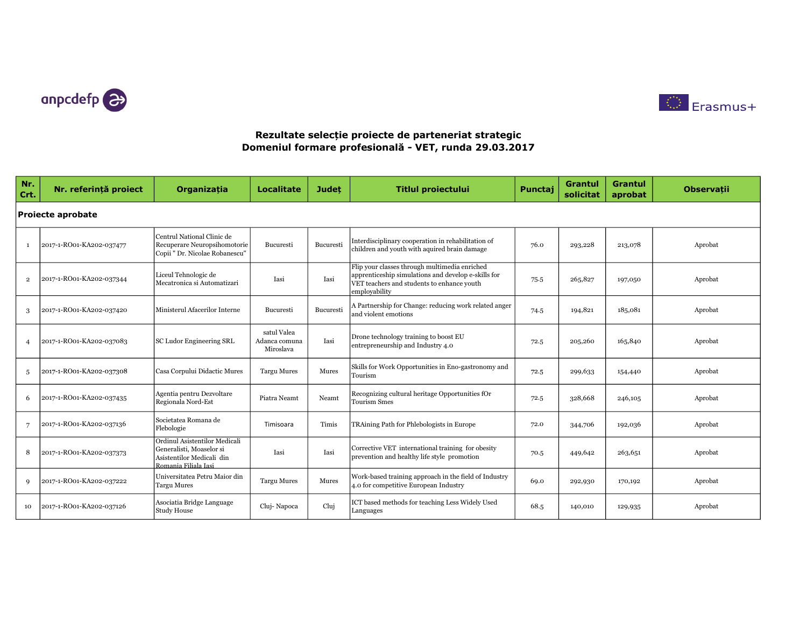



| Nr.<br>Crt.              | Nr. referință proiect    | Organizația                                                                                                    | <b>Localitate</b>                         | <b>Judet</b> | <b>Titlul proiectului</b>                                                                                                                                           | Punctaj | <b>Grantul</b><br>solicitat | Grantul<br>aprobat | <b>Observații</b> |  |  |  |
|--------------------------|--------------------------|----------------------------------------------------------------------------------------------------------------|-------------------------------------------|--------------|---------------------------------------------------------------------------------------------------------------------------------------------------------------------|---------|-----------------------------|--------------------|-------------------|--|--|--|
| <b>Proiecte aprobate</b> |                          |                                                                                                                |                                           |              |                                                                                                                                                                     |         |                             |                    |                   |  |  |  |
|                          | 2017-1-RO01-KA202-037477 | Centrul National Clinic de<br>Recuperare Neuropsihomotorie<br>Copii " Dr. Nicolae Robanescu"                   | Bucuresti                                 | Bucuresti    | Interdisciplinary cooperation in rehabilitation of<br>children and youth with aquired brain damage                                                                  | 76.0    | 293,228                     | 213,078            | Aprobat           |  |  |  |
| $\overline{2}$           | 2017-1-RO01-KA202-037344 | Liceul Tehnologic de<br>Mecatronica si Automatizari                                                            | Iasi                                      | Iasi         | Flip your classes through multimedia enriched<br>apprenticeship simulations and develop e-skills for<br>VET teachers and students to enhance youth<br>employability | 75.5    | 265,827                     | 197,050            | Aprobat           |  |  |  |
| 3                        | 2017-1-RO01-KA202-037420 | Ministerul Afacerilor Interne                                                                                  | <b>Bucuresti</b>                          | Bucuresti    | A Partnership for Change: reducing work related anger<br>and violent emotions                                                                                       | 74.5    | 194,821                     | 185,081            | Aprobat           |  |  |  |
| $\overline{4}$           | 2017-1-RO01-KA202-037083 | SC Ludor Engineering SRL                                                                                       | satul Valea<br>Adanca comuna<br>Miroslava | Iasi         | Drone technology training to boost EU<br>entrepreneurship and Industry 4.0                                                                                          | 72.5    | 205,260                     | 165,840            | Aprobat           |  |  |  |
| 5                        | 2017-1-RO01-KA202-037308 | Casa Corpului Didactic Mures                                                                                   | <b>Targu Mures</b>                        | Mures        | Skills for Work Opportunities in Eno-gastronomy and<br>Tourism                                                                                                      | 72.5    | 299,633                     | 154,440            | Aprobat           |  |  |  |
| 6                        | 2017-1-RO01-KA202-037435 | Agentia pentru Dezvoltare<br>Regionala Nord-Est                                                                | Piatra Neamt                              | Neamt        | Recognizing cultural heritage Opportunities fOr<br><b>Tourism Smes</b>                                                                                              | 72.5    | 328,668                     | 246,105            | Aprobat           |  |  |  |
|                          | 2017-1-RO01-KA202-037136 | Societatea Romana de<br>Flebologie                                                                             | Timisoara                                 | Timis        | TRAining Path for Phlebologists in Europe                                                                                                                           | 72.0    | 344,706                     | 192,036            | Aprobat           |  |  |  |
| 8                        | 2017-1-RO01-KA202-037373 | Ordinul Asistentilor Medicali<br>Generalisti, Moaselor si<br>Asistentilor Medicali din<br>Romania Filiala Iasi | Iasi                                      | Iasi         | Corrective VET international training for obesity<br>prevention and healthy life style promotion                                                                    | 70.5    | 449,642                     | 263,651            | Aprobat           |  |  |  |
| $\mathbf Q$              | 2017-1-RO01-KA202-037222 | Universitatea Petru Maior din<br><b>Targu Mures</b>                                                            | <b>Targu Mures</b>                        | Mures        | Work-based training approach in the field of Industry<br>4.0 for competitive European Industry                                                                      | 69.0    | 292,930                     | 170,192            | Aprobat           |  |  |  |
| 10                       | 2017-1-RO01-KA202-037126 | Asociatia Bridge Language<br><b>Study House</b>                                                                | Cluj-Napoca                               | Cluj         | ICT based methods for teaching Less Widely Used<br>Languages                                                                                                        | 68.5    | 140,010                     | 129,935            | Aprobat           |  |  |  |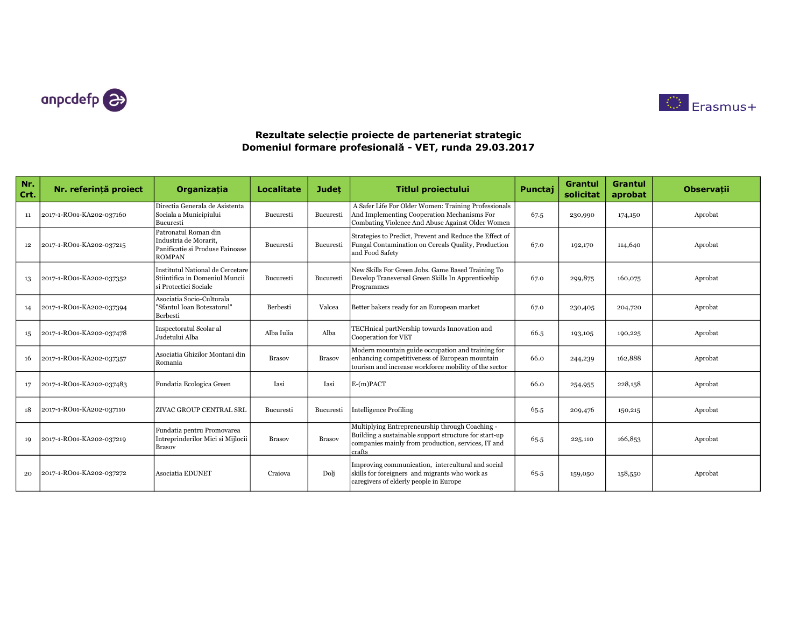



| Nr.<br>Crt. | Nr. referintă proiect    | Organizatia                                                                                       | <b>Localitate</b> | <b>Judet</b>  | <b>Titlul proiectului</b>                                                                                                                                                | Punctaj | <b>Grantul</b><br>solicitat | Grantul<br>aprobat | <b>Observatii</b> |
|-------------|--------------------------|---------------------------------------------------------------------------------------------------|-------------------|---------------|--------------------------------------------------------------------------------------------------------------------------------------------------------------------------|---------|-----------------------------|--------------------|-------------------|
| 11          | 2017-1-RO01-KA202-037160 | Directia Generala de Asistenta<br>Sociala a Municipiului<br>Bucuresti                             | Bucuresti         | Bucuresti     | A Safer Life For Older Women: Training Professionals<br>And Implementing Cooperation Mechanisms For<br>Combating Violence And Abuse Against Older Women                  | 67.5    | 230,990                     | 174,150            | Aprobat           |
| 12          | 2017-1-RO01-KA202-037215 | Patronatul Roman din<br>Industria de Morarit.<br>Panificatie si Produse Fainoase<br><b>ROMPAN</b> | Bucuresti         | Bucuresti     | Strategies to Predict, Prevent and Reduce the Effect of<br>Fungal Contamination on Cereals Quality, Production<br>and Food Safety                                        | 67.0    | 192,170                     | 114,640            | Aprobat           |
| 13          | 2017-1-RO01-KA202-037352 | Institutul National de Cercetare<br>Stiintifica in Domeniul Muncii<br>si Protectiei Sociale       | Bucuresti         | Bucuresti     | New Skills For Green Jobs. Game Based Training To<br>Develop Transversal Green Skills In Apprenticehip<br>Programmes                                                     | 67.0    | 299,875                     | 160,075            | Aprobat           |
| 14          | 2017-1-RO01-KA202-037394 | Asociatia Socio-Culturala<br>"Sfantul Ioan Botezatorul"<br>Berbesti                               | Berbesti          | Valcea        | Better bakers ready for an European market                                                                                                                               | 67.0    | 230,405                     | 204,720            | Aprobat           |
| 15          | 2017-1-RO01-KA202-037478 | Inspectoratul Scolar al<br>Judetului Alba                                                         | Alba Iulia        | Alba          | TECHnical partNership towards Innovation and<br>Cooperation for VET                                                                                                      | 66.5    | 193,105                     | 190,225            | Aprobat           |
| 16          | 2017-1-RO01-KA202-037357 | Asociatia Ghizilor Montani din<br>Romania                                                         | <b>Brasov</b>     | <b>Brasov</b> | Modern mountain guide occupation and training for<br>enhancing competitiveness of European mountain<br>tourism and increase workforce mobility of the sector             | 66.0    | 244,239                     | 162,888            | Aprobat           |
| 17          | 2017-1-RO01-KA202-037483 | Fundatia Ecologica Green                                                                          | Iasi              | Iasi          | $E-(m)$ PACT                                                                                                                                                             | 66.0    | 254,955                     | 228,158            | Aprobat           |
| 18          | 2017-1-RO01-KA202-037110 | ZIVAC GROUP CENTRAL SRL                                                                           | Bucuresti         | Bucuresti     | <b>Intelligence Profiling</b>                                                                                                                                            | 65.5    | 209,476                     | 150,215            | Aprobat           |
| 19          | 2017-1-RO01-KA202-037219 | Fundatia pentru Promovarea<br>Intreprinderilor Mici si Mijlocii<br><b>Brasov</b>                  | <b>Brasov</b>     | <b>Brasov</b> | Multiplying Entrepreneurship through Coaching -<br>Building a sustainable support structure for start-up<br>companies mainly from production, services, IT and<br>crafts | 65.5    | 225,110                     | 166,853            | Aprobat           |
| 20          | 2017-1-RO01-KA202-037272 | <b>Asociatia EDUNET</b>                                                                           | Craiova           | Dolj          | Improving communication, intercultural and social<br>skills for foreigners and migrants who work as<br>caregivers of elderly people in Europe                            | 65.5    | 159,050                     | 158,550            | Aprobat           |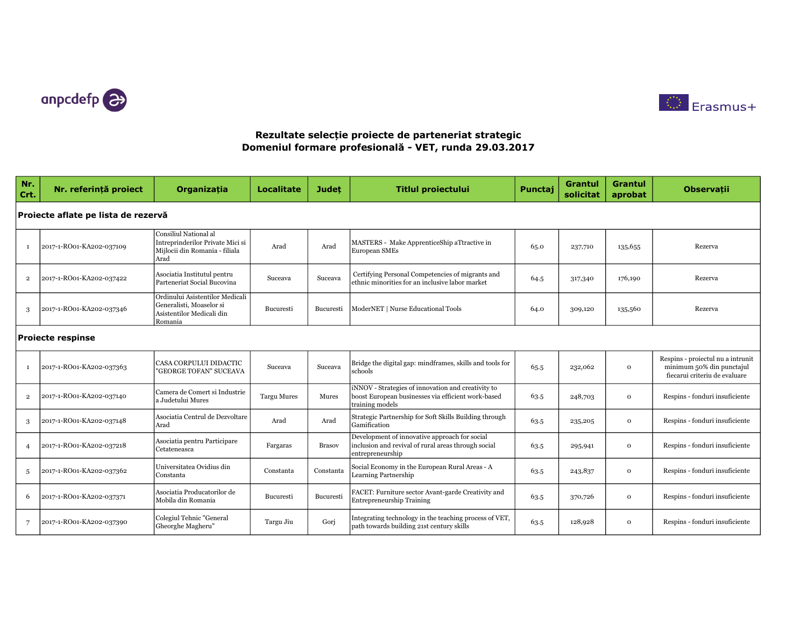



| Nr.<br>Crt.    | Nr. referintă proiect               | <b>Organizatia</b>                                                                                  | <b>Localitate</b>  | <b>Judet</b>  | <b>Titlul proiectului</b>                                                                                                   | Punctaj | <b>Grantul</b><br>solicitat | <b>Grantul</b><br>aprobat | <b>Observatii</b>                                                                               |  |  |  |  |
|----------------|-------------------------------------|-----------------------------------------------------------------------------------------------------|--------------------|---------------|-----------------------------------------------------------------------------------------------------------------------------|---------|-----------------------------|---------------------------|-------------------------------------------------------------------------------------------------|--|--|--|--|
|                | Proiecte aflate pe lista de rezervă |                                                                                                     |                    |               |                                                                                                                             |         |                             |                           |                                                                                                 |  |  |  |  |
| <sup>1</sup>   | 2017-1-RO01-KA202-037109            | Consiliul National al<br>Intreprinderilor Private Mici si<br>Mijlocii din Romania - filiala<br>Arad | Arad               | Arad          | MASTERS - Make ApprenticeShip aTtractive in<br>European SMEs                                                                | 65.0    | 237,710                     | 135,655                   | Rezerva                                                                                         |  |  |  |  |
| $\overline{2}$ | 2017-1-RO01-KA202-037422            | Asociatia Institutul pentru<br>Parteneriat Social Bucovina                                          | Suceava            | Suceava       | Certifying Personal Competencies of migrants and<br>ethnic minorities for an inclusive labor market                         | 64.5    | 317,340                     | 176,190                   | Rezerva                                                                                         |  |  |  |  |
| 3              | 2017-1-RO01-KA202-037346            | Ordinului Asistentilor Medicali<br>Generalisti. Moaselor si<br>Asistentilor Medicali din<br>Romania | Bucuresti          | Bucuresti     | ModerNET   Nurse Educational Tools                                                                                          | 64.0    | 309,120                     | 135,560                   | Rezerva                                                                                         |  |  |  |  |
|                | <b>Proiecte respinse</b>            |                                                                                                     |                    |               |                                                                                                                             |         |                             |                           |                                                                                                 |  |  |  |  |
| 1              | 2017-1-RO01-KA202-037363            | CASA CORPULUI DIDACTIC<br>"GEORGE TOFAN" SUCEAVA                                                    | Suceava            | Suceava       | Bridge the digital gap: mindframes, skills and tools for<br>schools                                                         | 65.5    | 232,062                     | $\mathbf{o}$              | Respins - proiectul nu a intrunit<br>minimum 50% din punctajul<br>fiecarui criteriu de evaluare |  |  |  |  |
| $\overline{2}$ | 2017-1-RO01-KA202-037140            | Camera de Comert si Industrie<br>la Judetului Mures                                                 | <b>Targu Mures</b> | Mures         | iNNOV - Strategies of innovation and creativity to<br>boost European businesses via efficient work-based<br>training models | 63.5    | 248,703                     | $\mathbf{o}$              | Respins - fonduri insuficiente                                                                  |  |  |  |  |
| 3              | 2017-1-RO01-KA202-037148            | Asociatia Centrul de Dezvoltare<br>Arad                                                             | Arad               | Arad          | Strategic Partnership for Soft Skills Building through<br>Gamification                                                      | 63.5    | 235,205                     | $\Omega$                  | Respins - fonduri insuficiente                                                                  |  |  |  |  |
| $\overline{4}$ | 2017-1-RO01-KA202-037218            | Asociatia pentru Participare<br>Cetateneasca                                                        | Fargaras           | <b>Brasov</b> | Development of innovative approach for social<br>inclusion and revival of rural areas through social<br>entrepreneurship    | 63.5    | 295,941                     | $\mathbf{o}$              | Respins - fonduri insuficiente                                                                  |  |  |  |  |
| $\overline{5}$ | 2017-1-RO01-KA202-037362            | Universitatea Ovidius din<br>Constanta                                                              | Constanta          | Constanta     | Social Economy in the European Rural Areas - A<br>Learning Partnership                                                      | 63.5    | 243,837                     | $\mathbf{o}$              | Respins - fonduri insuficiente                                                                  |  |  |  |  |
| 6              | 2017-1-RO01-KA202-037371            | Asociatia Producatorilor de<br>Mobila din Romania                                                   | Bucuresti          | Bucuresti     | FACET: Furniture sector Avant-garde Creativity and<br><b>Entrepreneurship Training</b>                                      | 63.5    | 370,726                     | $\mathbf{O}$              | Respins - fonduri insuficiente                                                                  |  |  |  |  |
| $\overline{7}$ | 2017-1-RO01-KA202-037390            | Colegiul Tehnic "General<br>Gheorghe Magheru"                                                       | Targu Jiu          | Gori          | Integrating technology in the teaching process of VET,<br>path towards building 21st century skills                         | 63.5    | 128,928                     | $\mathbf{o}$              | Respins - fonduri insuficiente                                                                  |  |  |  |  |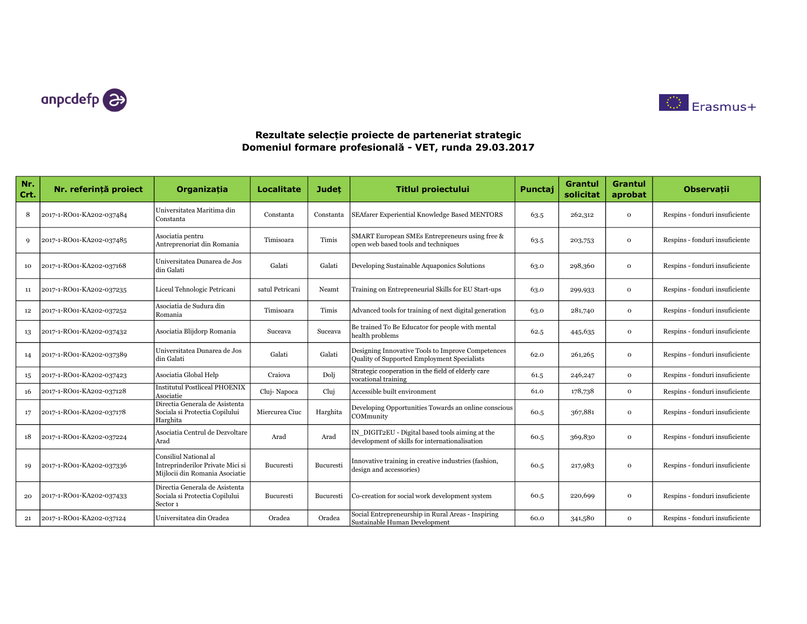



| Nr.<br>Crt. | Nr. referință proiect    | Organizația                                                                                 | <b>Localitate</b> | <b>Judet</b>     | <b>Titlul proiectului</b>                                                                         | Punctaj | <b>Grantul</b><br>solicitat | Grantul<br>aprobat | <b>Observații</b>              |
|-------------|--------------------------|---------------------------------------------------------------------------------------------|-------------------|------------------|---------------------------------------------------------------------------------------------------|---------|-----------------------------|--------------------|--------------------------------|
| 8           | 2017-1-RO01-KA202-037484 | Universitatea Maritima din<br>Constanta                                                     | Constanta         | Constanta        | SEAfarer Experiential Knowledge Based MENTORS                                                     | 63.5    | 262,312                     | $\mathbf 0$        | Respins - fonduri insuficiente |
| Q           | 2017-1-RO01-KA202-037485 | Asociatia pentru<br>Antreprenoriat din Romania                                              | Timisoara         | Timis            | SMART European SMEs Entrepreneurs using free &<br>open web based tools and techniques             | 63.5    | 203,753                     | $\Omega$           | Respins - fonduri insuficiente |
| 10          | 2017-1-RO01-KA202-037168 | Universitatea Dunarea de Jos<br>din Galati                                                  | Galati            | Galati           | Developing Sustainable Aquaponics Solutions                                                       | 63.0    | 298,360                     | $\mathbf{o}$       | Respins - fonduri insuficiente |
| 11          | 2017-1-RO01-KA202-037235 | Liceul Tehnologic Petricani                                                                 | satul Petricani   | Neamt            | Training on Entrepreneurial Skills for EU Start-ups                                               | 63.0    | 299,933                     | $\mathbf{o}$       | Respins - fonduri insuficiente |
| 12          | 2017-1-RO01-KA202-037252 | Asociatia de Sudura din<br>Romania                                                          | Timisoara         | Timis            | Advanced tools for training of next digital generation                                            | 63.0    | 281,740                     | $\mathbf{o}$       | Respins - fonduri insuficiente |
| 13          | 2017-1-RO01-KA202-037432 | Asociatia Blijdorp Romania                                                                  | Suceava           | Suceava          | Be trained To Be Educator for people with mental<br>health problems                               | 62.5    | 445,635                     | $\mathbf{o}$       | Respins - fonduri insuficiente |
| 14          | 2017-1-RO01-KA202-037389 | Universitatea Dunarea de Jos<br>din Galati                                                  | Galati            | Galati           | Designing Innovative Tools to Improve Competences<br>Quality of Supported Employment Specialists  | 62.0    | 261,265                     | $\mathbf{o}$       | Respins - fonduri insuficiente |
| 15          | 2017-1-RO01-KA202-037423 | Asociatia Global Help                                                                       | Craiova           | Dolj             | Strategic cooperation in the field of elderly care<br>vocational training                         | 61.5    | 246,247                     | $\mathbf{o}$       | Respins - fonduri insuficiente |
| 16          | 2017-1-RO01-KA202-037128 | <b>Institutul Postliceal PHOENIX</b><br>Asociatie                                           | Cluj-Napoca       | Clui             | Accessible built environment                                                                      | 61.0    | 178,738                     | $\mathbf{o}$       | Respins - fonduri insuficiente |
| 17          | 2017-1-RO01-KA202-037178 | Directia Generala de Asistenta<br>Sociala si Protectia Copilului<br>Harghita                | Miercurea Ciuc    | Harghita         | Developing Opportunities Towards an online conscious<br>COMmunity                                 | 60.5    | 367,881                     | $\mathbf 0$        | Respins - fonduri insuficiente |
| 18          | 2017-1-RO01-KA202-037224 | Asociatia Centrul de Dezvoltare<br>Arad                                                     | Arad              | Arad             | IN DIGIT2EU - Digital based tools aiming at the<br>development of skills for internationalisation | 60.5    | 369,830                     | $\mathbf{o}$       | Respins - fonduri insuficiente |
| 19          | 2017-1-RO01-KA202-037336 | Consiliul National al<br>Intreprinderilor Private Mici si<br>Mijlocii din Romania Asociatie | Bucuresti         | Bucuresti        | Innovative training in creative industries (fashion,<br>design and accessories)                   | 60.5    | 217,983                     | $\mathbf{o}$       | Respins - fonduri insuficiente |
| 20          | 2017-1-RO01-KA202-037433 | Directia Generala de Asistenta<br>Sociala si Protectia Copilului<br>Sector 1                | <b>Bucuresti</b>  | <b>Bucuresti</b> | Co-creation for social work development system                                                    | 60.5    | 220,699                     | $\mathbf{o}$       | Respins - fonduri insuficiente |
| 21          | 2017-1-RO01-KA202-037124 | Universitatea din Oradea                                                                    | Oradea            | Oradea           | Social Entrepreneurship in Rural Areas - Inspiring<br>Sustainable Human Development               | 60.0    | 341,580                     | $\mathbf{o}$       | Respins - fonduri insuficiente |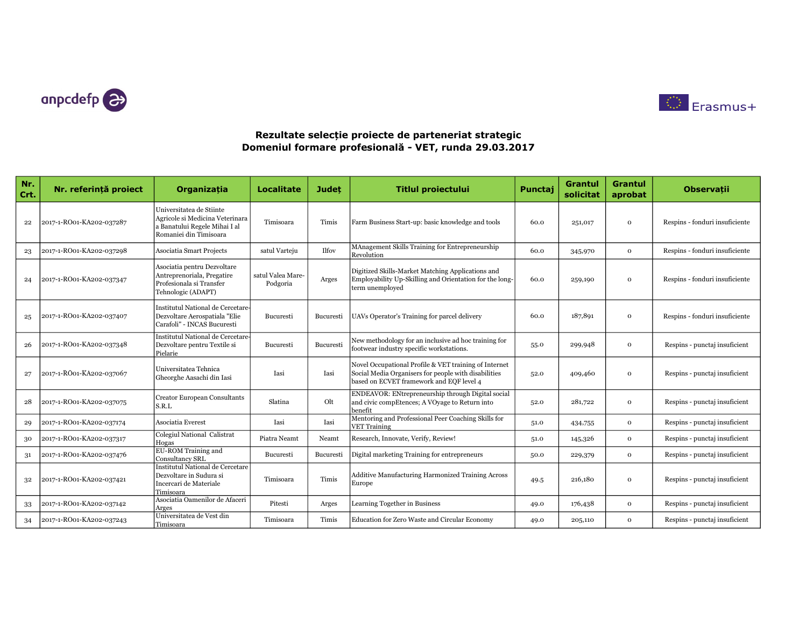



| Nr.<br>Crt. | Nr. referință proiect    | Organizatia                                                                                                            | <b>Localitate</b>             | <b>Judet</b>     | <b>Titlul proiectului</b>                                                                                                                                 | Punctaj | <b>Grantul</b><br>solicitat | Grantul<br>aprobat | <b>Observatii</b>              |
|-------------|--------------------------|------------------------------------------------------------------------------------------------------------------------|-------------------------------|------------------|-----------------------------------------------------------------------------------------------------------------------------------------------------------|---------|-----------------------------|--------------------|--------------------------------|
| 22          | 2017-1-RO01-KA202-037287 | Universitatea de Stiinte<br>Agricole si Medicina Veterinara<br>a Banatului Regele Mihai I al<br>Romaniei din Timisoara | Timisoara                     | Timis            | Farm Business Start-up: basic knowledge and tools                                                                                                         | 60.0    | 251,017                     | $\Omega$           | Respins - fonduri insuficiente |
| 23          | 2017-1-RO01-KA202-037298 | <b>Asociatia Smart Projects</b>                                                                                        | satul Varteju                 | <b>Ilfoy</b>     | MAnagement Skills Training for Entrepreneurship<br>Revolution                                                                                             | 60.0    | 345,970                     | $\mathbf{o}$       | Respins - fonduri insuficiente |
| 24          | 2017-1-RO01-KA202-037347 | Asociatia pentru Dezvoltare<br>Antreprenoriala, Pregatire<br>Profesionala si Transfer<br>Tehnologic (ADAPT)            | satul Valea Mare-<br>Podgoria | Arges            | Digitized Skills-Market Matching Applications and<br>Employability Up-Skilling and Orientation for the long-<br>term unemployed                           | 60.0    | 259,190                     | $\Omega$           | Respins - fonduri insuficiente |
| 25          | 2017-1-RO01-KA202-037407 | Institutul National de Cercetare<br>Dezvoltare Aerospatiala "Elie<br>Carafoli" - INCAS Bucuresti                       | <b>Bucuresti</b>              | <b>Bucuresti</b> | UAVs Operator's Training for parcel delivery                                                                                                              | 60.0    | 187,891                     | $\Omega$           | Respins - fonduri insuficiente |
| 26          | 2017-1-RO01-KA202-037348 | Institutul National de Cercetare<br>Dezvoltare pentru Textile si<br>Pielarie                                           | <b>Bucuresti</b>              | Bucuresti        | New methodology for an inclusive ad hoc training for<br>footwear industry specific workstations.                                                          | 55.0    | 299,948                     | $\Omega$           | Respins - punctaj insuficient  |
| 27          | 2017-1-RO01-KA202-037067 | Universitatea Tehnica<br>Gheorghe Aasachi din Iasi                                                                     | Iasi                          | Iasi             | Novel Occupational Profile & VET training of Internet<br>Social Media Organisers for people with disabilities<br>based on ECVET framework and EQF level 4 | 52.0    | 409,460                     | $\Omega$           | Respins - punctaj insuficient  |
| 28          | 2017-1-RO01-KA202-037075 | <b>Creator European Consultants</b><br>S.R.L                                                                           | Slatina                       | Olt              | ENDEAVOR: ENtrepreneurship through Digital social<br>and civic compEtences; A VOyage to Return into<br>benefit                                            | 52.0    | 281,722                     | $\mathbf{o}$       | Respins - punctaj insuficient  |
| 29          | 2017-1-RO01-KA202-037174 | Asociatia Everest                                                                                                      | Iasi                          | Iasi             | Mentoring and Professional Peer Coaching Skills for<br><b>VET Training</b>                                                                                | 51.0    | 434,755                     | $\mathbf{o}$       | Respins - punctaj insuficient  |
| 30          | 2017-1-RO01-KA202-037317 | Colegiul National Calistrat<br>Hogas                                                                                   | Piatra Neamt                  | Neamt            | Research, Innovate, Verify, Review!                                                                                                                       | 51.0    | 145,326                     | $\Omega$           | Respins - punctaj insuficient  |
| 31          | 2017-1-RO01-KA202-037476 | EU-ROM Training and<br>Consultancy SRL                                                                                 | <b>Bucuresti</b>              | Bucuresti        | Digital marketing Training for entrepreneurs                                                                                                              | 50.0    | 229,379                     | $\mathbf{o}$       | Respins - punctaj insuficient  |
| 32          | 2017-1-RO01-KA202-037421 | Institutul National de Cercetare<br>Dezvoltare in Sudura si<br>Incercari de Materiale<br>Timisoara                     | Timisoara                     | Timis            | Additive Manufacturing Harmonized Training Across<br>Europe                                                                                               | 49.5    | 216,180                     | $\Omega$           | Respins - punctaj insuficient  |
| 33          | 2017-1-RO01-KA202-037142 | Asociatia Oamenilor de Afaceri<br>Arges                                                                                | Pitesti                       | Arges            | Learning Together in Business                                                                                                                             | 49.0    | 176,438                     | $\mathbf{o}$       | Respins - punctaj insuficient  |
| 34          | 2017-1-RO01-KA202-037243 | Universitatea de Vest din<br>Timisoara                                                                                 | Timisoara                     | Timis            | Education for Zero Waste and Circular Economy                                                                                                             | 49.0    | 205,110                     | $\mathbf{o}$       | Respins - punctaj insuficient  |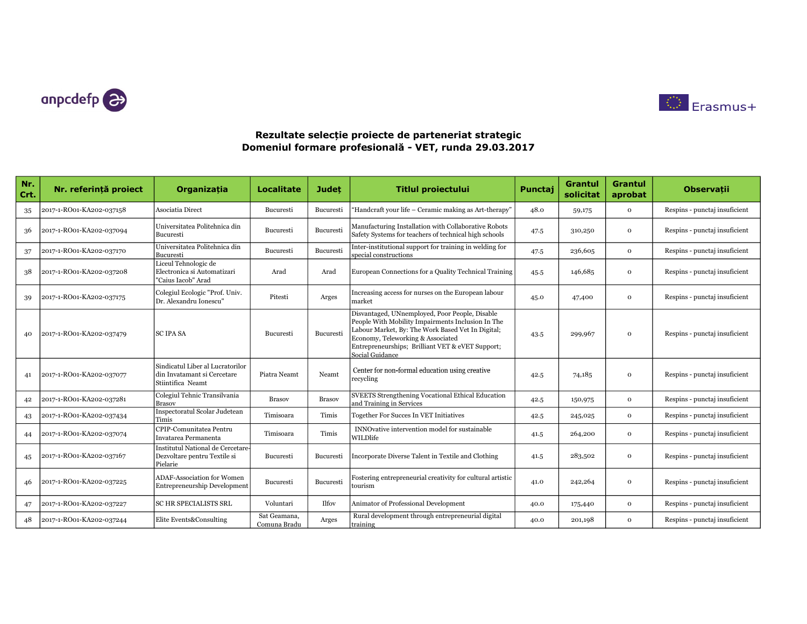



| Nr.<br>Crt. | Nr. referință proiect    | Organizația                                                                          | Localitate                   | Judet         | <b>Titlul proiectului</b>                                                                                                                                                                                                                                            | Punctai | <b>Grantul</b><br>solicitat | <b>Grantul</b><br>aprobat | <b>Observații</b>             |
|-------------|--------------------------|--------------------------------------------------------------------------------------|------------------------------|---------------|----------------------------------------------------------------------------------------------------------------------------------------------------------------------------------------------------------------------------------------------------------------------|---------|-----------------------------|---------------------------|-------------------------------|
| 35          | 2017-1-RO01-KA202-037158 | Asociatia Direct                                                                     | Bucuresti                    | Bucuresti     | 'Handcraft your life – Ceramic making as Art-therapy"                                                                                                                                                                                                                | 48.0    | 59,175                      | $\mathbf{o}$              | Respins - punctaj insuficient |
| 36          | 2017-1-RO01-KA202-037094 | Universitatea Politehnica din<br>Bucuresti                                           | Bucuresti                    | Bucuresti     | Manufacturing Installation with Collaborative Robots<br>Safety Systems for teachers of technical high schools                                                                                                                                                        | 47.5    | 310,250                     | $\mathbf{o}$              | Respins - punctaj insuficient |
| 37          | 2017-1-RO01-KA202-037170 | Universitatea Politehnica din<br>Bucuresti                                           | Bucuresti                    | Bucuresti     | Inter-institutional support for training in welding for<br>special constructions                                                                                                                                                                                     | 47.5    | 236,605                     | $\Omega$                  | Respins - punctaj insuficient |
| 38          | 2017-1-RO01-KA202-037208 | Liceul Tehnologic de<br>Electronica si Automatizari<br>"Caius Iacob" Arad            | Arad                         | Arad          | European Connections for a Quality Technical Training                                                                                                                                                                                                                | 45.5    | 146,685                     | $\mathbf{o}$              | Respins - punctaj insuficient |
| 39          | 2017-1-RO01-KA202-037175 | Colegiul Ecologic "Prof. Univ.<br>Dr. Alexandru Ionescu'                             | Pitesti                      | Arges         | Increasing access for nurses on the European labour<br>market                                                                                                                                                                                                        | 45.0    | 47,400                      | $\Omega$                  | Respins - punctaj insuficient |
| 40          | 2017-1-RO01-KA202-037479 | <b>SC IPA SA</b>                                                                     | Bucuresti                    | Bucuresti     | Disvantaged, UNnemployed, Poor People, Disable<br>People With Mobility Impairments Inclusion In The<br>Labour Market, By: The Work Based Vet In Digital;<br>Economy, Teleworking & Associated<br>Entrepreneurships; Brilliant VET & eVET Support;<br>Social Guidance | 43.5    | 299,967                     | $\Omega$                  | Respins - punctaj insuficient |
| 41          | 2017-1-RO01-KA202-037077 | Sindicatul Liber al Lucratorilor<br>din Invatamant si Cercetare<br>Stiintifica Neamt | Piatra Neamt                 | Neamt         | Center for non-formal education using creative<br>recycling                                                                                                                                                                                                          | 42.5    | 74,185                      | $\mathbf{o}$              | Respins - punctaj insuficient |
| 42          | 2017-1-RO01-KA202-037281 | Colegiul Tehnic Transilvania<br>Brasov                                               | <b>Brasov</b>                | <b>Brasov</b> | SVEETS Strengthening Vocational Ethical Education<br>and Training in Services                                                                                                                                                                                        | 42.5    | 150,975                     | $\Omega$                  | Respins - punctaj insuficient |
| 43          | 2017-1-RO01-KA202-037434 | Inspectoratul Scolar Judetean<br>Timis                                               | Timisoara                    | Timis         | Together For Succes In VET Initiatives                                                                                                                                                                                                                               | 42.5    | 245,025                     | $\mathbf{o}$              | Respins - punctaj insuficient |
| 44          | 2017-1-RO01-KA202-037074 | CPIP-Comunitatea Pentru<br>Invatarea Permanenta                                      | Timisoara                    | Timis         | INNOvative intervention model for sustainable<br>WILDlife                                                                                                                                                                                                            | 41.5    | 264,200                     | $\mathbf{o}$              | Respins - punctaj insuficient |
| 45          | 2017-1-RO01-KA202-037167 | Institutul National de Cercetare-<br>Dezvoltare pentru Textile si<br>Pielarie        | Bucuresti                    | Bucuresti     | Incorporate Diverse Talent in Textile and Clothing                                                                                                                                                                                                                   | 41.5    | 283,502                     | $\Omega$                  | Respins - punctaj insuficient |
| 46          | 2017-1-RO01-KA202-037225 | <b>ADAF-Association for Women</b><br><b>Entrepreneurship Development</b>             | <b>Bucuresti</b>             | Bucuresti     | Fostering entrepreneurial creativity for cultural artistic<br>tourism                                                                                                                                                                                                | 41.0    | 242,264                     | $\mathbf{o}$              | Respins - punctaj insuficient |
| 47          | 2017-1-RO01-KA202-037227 | <b>SC HR SPECIALISTS SRL</b>                                                         | Voluntari                    | Ilfov         | Animator of Professional Development                                                                                                                                                                                                                                 | 40.0    | 175,440                     | $\Omega$                  | Respins - punctaj insuficient |
| 48          | 2017-1-RO01-KA202-037244 | Elite Events&Consulting                                                              | Sat Geamana,<br>Comuna Bradu | Arges         | Rural development through entrepreneurial digital<br>training                                                                                                                                                                                                        | 40.0    | 201,198                     | $\mathbf{o}$              | Respins - punctaj insuficient |